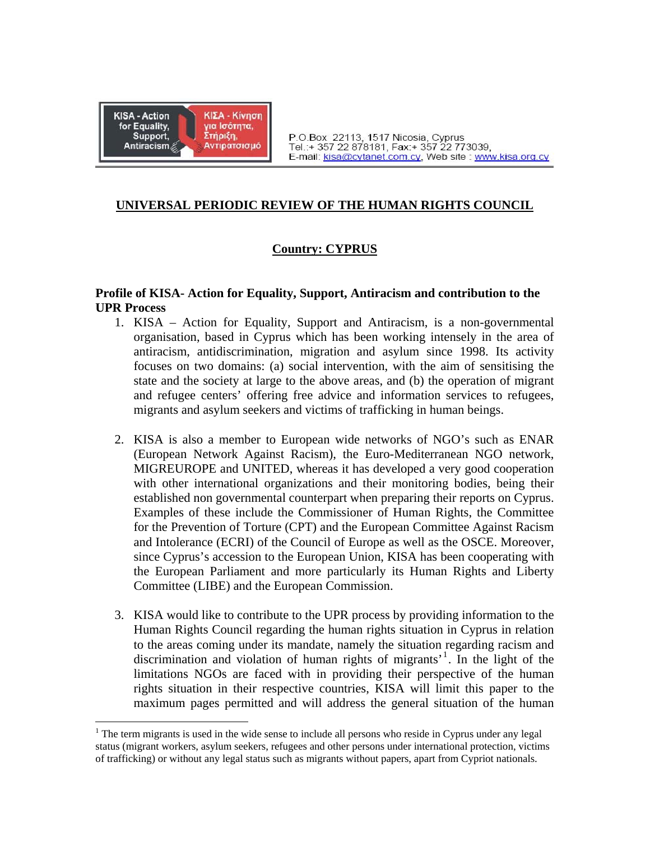

 $\overline{a}$ 

# **UNIVERSAL PERIODIC REVIEW OF THE HUMAN RIGHTS COUNCIL**

# **Country: CYPRUS**

## **Profile of KISA- Action for Equality, Support, Antiracism and contribution to the UPR Process**

- 1. KISA Action for Equality, Support and Antiracism, is a non-governmental organisation, based in Cyprus which has been working intensely in the area of antiracism, antidiscrimination, migration and asylum since 1998. Its activity focuses on two domains: (a) social intervention, with the aim of sensitising the state and the society at large to the above areas, and (b) the operation of migrant and refugee centers' offering free advice and information services to refugees, migrants and asylum seekers and victims of trafficking in human beings.
- 2. KISA is also a member to European wide networks of NGO's such as ENAR (European Network Against Racism), the Euro-Mediterranean NGO network, MIGREUROPE and UNITED, whereas it has developed a very good cooperation with other international organizations and their monitoring bodies, being their established non governmental counterpart when preparing their reports on Cyprus. Examples of these include the Commissioner of Human Rights, the Committee for the Prevention of Torture (CPT) and the European Committee Against Racism and Intolerance (ECRI) of the Council of Europe as well as the OSCE. Moreover, since Cyprus's accession to the European Union, KISA has been cooperating with the European Parliament and more particularly its Human Rights and Liberty Committee (LIBE) and the European Commission.
- 3. KISA would like to contribute to the UPR process by providing information to the Human Rights Council regarding the human rights situation in Cyprus in relation to the areas coming under its mandate, namely the situation regarding racism and discrimination and violation of human rights of migrants'[1](#page-0-0) . In the light of the limitations NGOs are faced with in providing their perspective of the human rights situation in their respective countries, KISA will limit this paper to the maximum pages permitted and will address the general situation of the human

<span id="page-0-0"></span> $1$  The term migrants is used in the wide sense to include all persons who reside in Cyprus under any legal status (migrant workers, asylum seekers, refugees and other persons under international protection, victims of trafficking) or without any legal status such as migrants without papers, apart from Cypriot nationals.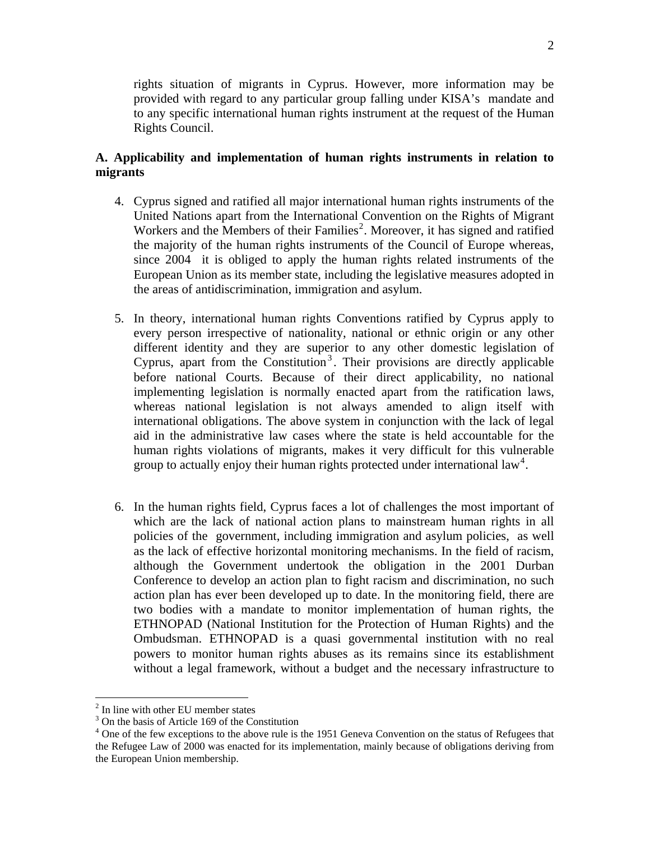rights situation of migrants in Cyprus. However, more information may be provided with regard to any particular group falling under KISA's mandate and to any specific international human rights instrument at the request of the Human Rights Council.

## **A. Applicability and implementation of human rights instruments in relation to migrants**

- 4. Cyprus signed and ratified all major international human rights instruments of the United Nations apart from the International Convention on the Rights of Migrant Workers and the Members of their Families<sup>[2](#page-1-0)</sup>. Moreover, it has signed and ratified the majority of the human rights instruments of the Council of Europe whereas, since 2004 it is obliged to apply the human rights related instruments of the European Union as its member state, including the legislative measures adopted in the areas of antidiscrimination, immigration and asylum.
- 5. In theory, international human rights Conventions ratified by Cyprus apply to every person irrespective of nationality, national or ethnic origin or any other different identity and they are superior to any other domestic legislation of Cyprus, apart from the Constitution<sup>[3](#page-1-1)</sup>. Their provisions are directly applicable before national Courts. Because of their direct applicability, no national implementing legislation is normally enacted apart from the ratification laws, whereas national legislation is not always amended to align itself with international obligations. The above system in conjunction with the lack of legal aid in the administrative law cases where the state is held accountable for the human rights violations of migrants, makes it very difficult for this vulnerable group to actually enjoy their human rights protected under international law<sup>[4](#page-1-2)</sup>.
- 6. In the human rights field, Cyprus faces a lot of challenges the most important of which are the lack of national action plans to mainstream human rights in all policies of the government, including immigration and asylum policies, as well as the lack of effective horizontal monitoring mechanisms. In the field of racism, although the Government undertook the obligation in the 2001 Durban Conference to develop an action plan to fight racism and discrimination, no such action plan has ever been developed up to date. In the monitoring field, there are two bodies with a mandate to monitor implementation of human rights, the ETHNOPAD (National Institution for the Protection of Human Rights) and the Ombudsman. ETHNOPAD is a quasi governmental institution with no real powers to monitor human rights abuses as its remains since its establishment without a legal framework, without a budget and the necessary infrastructure to

1

<sup>&</sup>lt;sup>2</sup> In line with other EU member states

<span id="page-1-1"></span><span id="page-1-0"></span><sup>&</sup>lt;sup>3</sup> On the basis of Article 169 of the Constitution

<span id="page-1-2"></span><sup>&</sup>lt;sup>4</sup> One of the few exceptions to the above rule is the 1951 Geneva Convention on the status of Refugees that the Refugee Law of 2000 was enacted for its implementation, mainly because of obligations deriving from the European Union membership.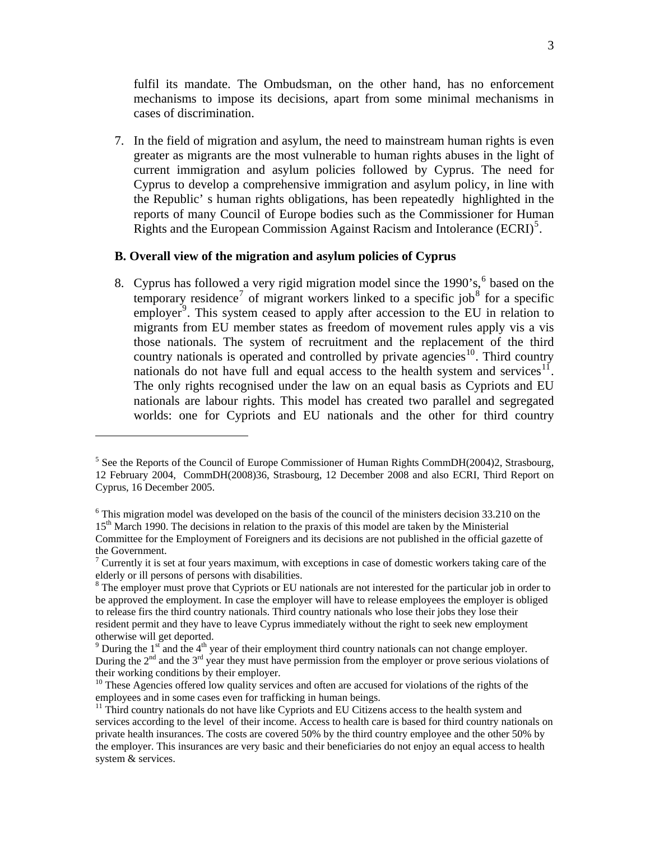fulfil its mandate. The Ombudsman, on the other hand, has no enforcement mechanisms to impose its decisions, apart from some minimal mechanisms in cases of discrimination.

7. In the field of migration and asylum, the need to mainstream human rights is even greater as migrants are the most vulnerable to human rights abuses in the light of current immigration and asylum policies followed by Cyprus. The need for Cyprus to develop a comprehensive immigration and asylum policy, in line with the Republic' s human rights obligations, has been repeatedly highlighted in the reports of many Council of Europe bodies such as the Commissioner for Human Rights and the European Commission Against Racism and Intolerance (ECRI)<sup>[5](#page-2-0)</sup>.

#### **B. Overall view of the migration and asylum policies of Cyprus**

1

8. Cyprus has followed a very rigid migration model since the  $1990$ 's,  $6$  based on the temporary residence<sup>[7](#page-2-2)</sup> of migrant workers linked to a specific job<sup>[8](#page-2-3)</sup> for a specific employer<sup>[9](#page-2-4)</sup>. This system ceased to apply after accession to the EU in relation to migrants from EU member states as freedom of movement rules apply vis a vis those nationals. The system of recruitment and the replacement of the third country nationals is operated and controlled by private agencies<sup>[10](#page-2-5)</sup>. Third country nationals do not have full and equal access to the health system and services<sup>[11](#page-2-6)</sup>. The only rights recognised under the law on an equal basis as Cypriots and EU nationals are labour rights. This model has created two parallel and segregated worlds: one for Cypriots and EU nationals and the other for third country

<span id="page-2-0"></span><sup>&</sup>lt;sup>5</sup> See the Reports of the Council of Europe Commissioner of Human Rights CommDH(2004)2, Strasbourg, 12 February 2004, CommDH(2008)36, Strasbourg, 12 December 2008 and also ECRI, Third Report on Cyprus, 16 December 2005.

<span id="page-2-1"></span> $6$  This migration model was developed on the basis of the council of the ministers decision 33.210 on the 15<sup>th</sup> March 1990. The decisions in relation to the praxis of this model are taken by the Ministerial Committee for the Employment of Foreigners and its decisions are not published in the official gazette of the Government.

<span id="page-2-2"></span><sup>&</sup>lt;sup>7</sup> Currently it is set at four years maximum, with exceptions in case of domestic workers taking care of the elderly or ill persons of persons with disabilities.

<span id="page-2-3"></span><sup>&</sup>lt;sup>8</sup> The employer must prove that Cypriots or EU nationals are not interested for the particular job in order to be approved the employment. In case the employer will have to release employees the employer is obliged to release firs the third country nationals. Third country nationals who lose their jobs they lose their resident permit and they have to leave Cyprus immediately without the right to seek new employment otherwise will get deported.

<span id="page-2-4"></span><sup>&</sup>lt;sup>9</sup> During the 1<sup>st</sup> and the 4<sup>th</sup> year of their employment third country nationals can not change employer. During the  $2^{nd}$  and the  $3^{rd}$  year they must have permission from the employer or prove serious violations of their working conditions by their employer.

<span id="page-2-5"></span> $10$  These Agencies offered low quality services and often are accused for violations of the rights of the employees and in some cases even for trafficking in human beings.<br><sup>11</sup> Third country nationals do not have like Cypriots and EU Citizens access to the health system and

<span id="page-2-6"></span>services according to the level of their income. Access to health care is based for third country nationals on private health insurances. The costs are covered 50% by the third country employee and the other 50% by the employer. This insurances are very basic and their beneficiaries do not enjoy an equal access to health system & services.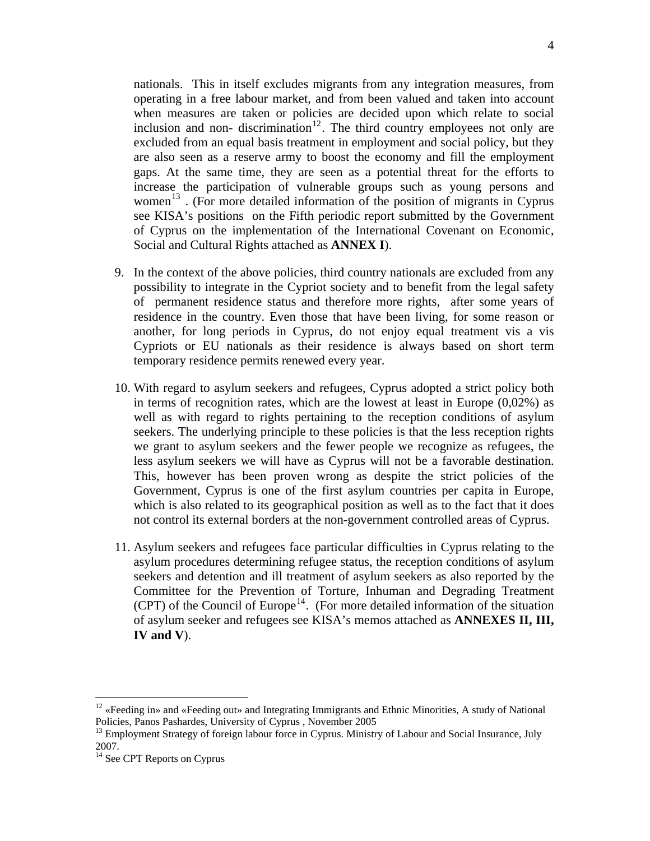nationals. This in itself excludes migrants from any integration measures, from operating in a free labour market, and from been valued and taken into account when measures are taken or policies are decided upon which relate to social inclusion and non-discrimination<sup>[12](#page-3-0)</sup>. The third country employees not only are excluded from an equal basis treatment in employment and social policy, but they are also seen as a reserve army to boost the economy and fill the employment gaps. At the same time, they are seen as a potential threat for the efforts to increase the participation of vulnerable groups such as young persons and women<sup>[13](#page-3-1)</sup>. (For more detailed information of the position of migrants in Cyprus see KISA's positions on the Fifth periodic report submitted by the Government of Cyprus on the implementation of the International Covenant on Economic, Social and Cultural Rights attached as **ANNEX I**).

- 9. In the context of the above policies, third country nationals are excluded from any possibility to integrate in the Cypriot society and to benefit from the legal safety of permanent residence status and therefore more rights, after some years of residence in the country. Even those that have been living, for some reason or another, for long periods in Cyprus, do not enjoy equal treatment vis a vis Cypriots or EU nationals as their residence is always based on short term temporary residence permits renewed every year.
- 10. With regard to asylum seekers and refugees, Cyprus adopted a strict policy both in terms of recognition rates, which are the lowest at least in Europe  $(0,02\%)$  as well as with regard to rights pertaining to the reception conditions of asylum seekers. The underlying principle to these policies is that the less reception rights we grant to asylum seekers and the fewer people we recognize as refugees, the less asylum seekers we will have as Cyprus will not be a favorable destination. This, however has been proven wrong as despite the strict policies of the Government, Cyprus is one of the first asylum countries per capita in Europe, which is also related to its geographical position as well as to the fact that it does not control its external borders at the non-government controlled areas of Cyprus.
- 11. Asylum seekers and refugees face particular difficulties in Cyprus relating to the asylum procedures determining refugee status, the reception conditions of asylum seekers and detention and ill treatment of asylum seekers as also reported by the Committee for the Prevention of Torture, Inhuman and Degrading Treatment (CPT) of the Council of Europe<sup>[14](#page-3-2)</sup>. (For more detailed information of the situation of asylum seeker and refugees see KISA's memos attached as **ANNEXES II, III, IV and V**).

 $\overline{a}$ 

<span id="page-3-0"></span><sup>&</sup>lt;sup>12</sup> «Feeding in» and «Feeding out» and Integrating Immigrants and Ethnic Minorities, A study of National

<span id="page-3-1"></span>Policies, Panos Pashardes, University of Cyprus , November 2005<br><sup>13</sup> Employment Strategy of foreign labour force in Cyprus. Ministry of Labour and Social Insurance, July 2007.

<span id="page-3-2"></span><sup>&</sup>lt;sup>14</sup> See CPT Reports on Cyprus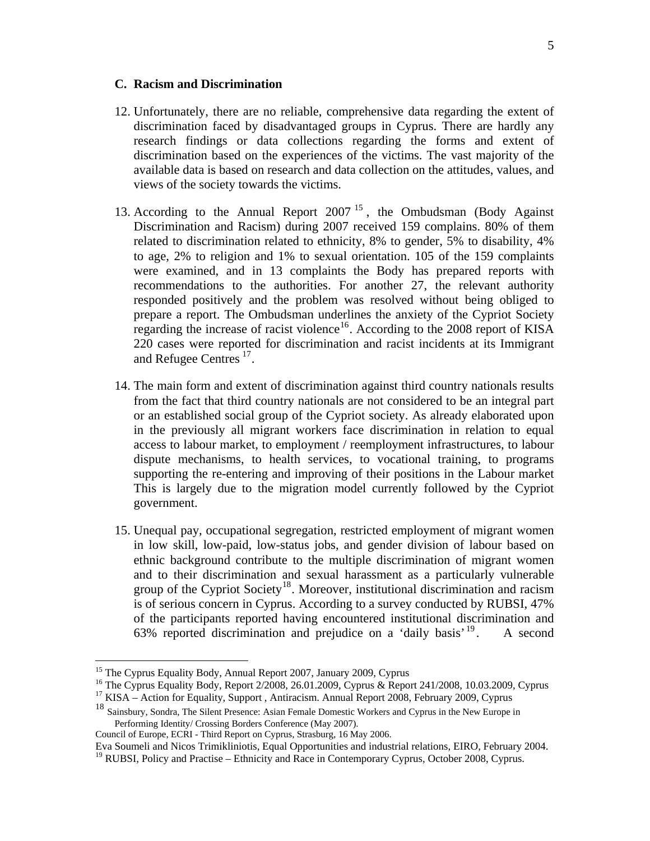#### **C. Racism and Discrimination**

- 12. Unfortunately, there are no reliable, comprehensive data regarding the extent of discrimination faced by disadvantaged groups in Cyprus. There are hardly any research findings or data collections regarding the forms and extent of discrimination based on the experiences of the victims. The vast majority of the available data is based on research and data collection on the attitudes, values, and views of the society towards the victims.
- 13. According to the Annual Report 2007<sup>[15](#page-4-0)</sup>, the Ombudsman (Body Against Discrimination and Racism) during 2007 received 159 complains. 80% of them related to discrimination related to ethnicity, 8% to gender, 5% to disability, 4% to age, 2% to religion and 1% to sexual orientation. 105 of the 159 complaints were examined, and in 13 complaints the Body has prepared reports with recommendations to the authorities. For another 27, the relevant authority responded positively and the problem was resolved without being obliged to prepare a report. The Ombudsman underlines the anxiety of the Cypriot Society regarding the increase of racist violence<sup>[16](#page-4-1)</sup>. According to the 2008 report of KISA 220 cases were reported for discrimination and racist incidents at its Immigrant and Refugee Centres [17](#page-4-2).
- 14. The main form and extent of discrimination against third country nationals results from the fact that third country nationals are not considered to be an integral part or an established social group of the Cypriot society. As already elaborated upon in the previously all migrant workers face discrimination in relation to equal access to labour market, to employment / reemployment infrastructures, to labour dispute mechanisms, to health services, to vocational training, to programs supporting the re-entering and improving of their positions in the Labour market This is largely due to the migration model currently followed by the Cypriot government.
- 15. Unequal pay, occupational segregation, restricted employment of migrant women in low skill, low-paid, low-status jobs, and gender division of labour based on ethnic background contribute to the multiple discrimination of migrant women and to their discrimination and sexual harassment as a particularly vulnerable group of the Cypriot Society<sup>[18](#page-4-3)</sup>. Moreover, institutional discrimination and racism is of serious concern in Cyprus. According to a survey conducted by RUBSI, 47% of the participants reported having encountered institutional discrimination and 63% reported discrimination and prejudice on a 'daily basis'  $19$ . A second

 $\overline{a}$ 

<sup>&</sup>lt;sup>15</sup> The Cyprus Equality Body, Annual Report 2007, January 2009, Cyprus

<span id="page-4-1"></span><span id="page-4-0"></span><sup>&</sup>lt;sup>16</sup> The Cyprus Equality Body, Report 2/2008, 26.01.2009, Cyprus & Report 241/2008, 10.03.2009, Cyprus <sup>17</sup> KISA – Action for Equality, Support , Antiracism. Annual Report 2008, February 2009, Cyprus

<span id="page-4-3"></span><span id="page-4-2"></span><sup>&</sup>lt;sup>18</sup> Sainsbury, Sondra, The Silent Presence: Asian Female Domestic Workers and Cyprus in the New Europe in Performing Identity/ Crossing Borders Conference (May 2007).

Council of Europe, ECRI - Third Report on Cyprus, Strasburg, 16 May 2006.

Eva Soumeli and Nicos Trimikliniotis, Equal Opportunities and industrial relations, EIRO, February 2004.

<span id="page-4-4"></span><sup>&</sup>lt;sup>19</sup> RUBSI, Policy and Practise – Ethnicity and Race in Contemporary Cyprus, October 2008, Cyprus.